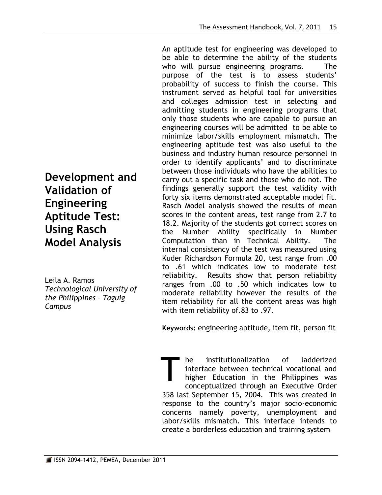An aptitude test for engineering was developed to be able to determine the ability of the students who will pursue engineering programs. The purpose of the test is to assess students' probability of success to finish the course. This instrument served as helpful tool for universities and colleges admission test in selecting and admitting students in engineering programs that only those students who are capable to pursue an engineering courses will be admitted to be able to minimize labor/skills employment mismatch. The engineering aptitude test was also useful to the business and industry human resource personnel in order to identify applicants' and to discriminate between those individuals who have the abilities to carry out a specific task and those who do not. The findings generally support the test validity with forty six items demonstrated acceptable model fit. Rasch Model analysis showed the results of mean scores in the content areas, test range from 2.7 to 18.2. Majority of the students got correct scores on the Number Ability specifically in Number Computation than in Technical Ability. The internal consistency of the test was measured using Kuder Richardson Formula 20, test range from .00 to .61 which indicates low to moderate test reliability. Results show that person reliability ranges from .00 to .50 which indicates low to moderate reliability however the results of the item reliability for all the content areas was high with item reliability of.83 to .97.

**Keywords:** engineering aptitude, item fit, person fit

he institutionalization of ladderized interface between technical vocational and higher Education in the Philippines was conceptualized through an Executive Order 358 last September 15, 2004. This was created in response to the country's major socio-economic concerns namely poverty, unemployment and labor/skills mismatch. This interface intends to create a borderless education and training system T

**Development and Validation of Engineering Aptitude Test: Using Rasch Model Analysis**

Leila A. Ramos *Technological University of the Philippines – Taguig Campus*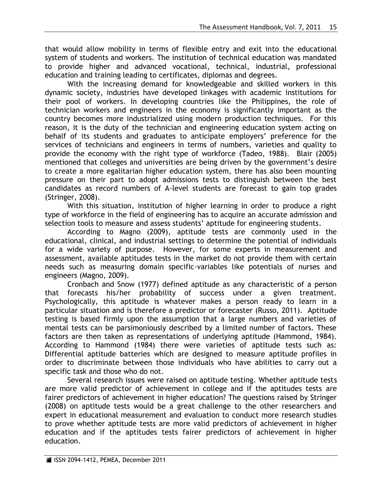that would allow mobility in terms of flexible entry and exit into the educational system of students and workers. The institution of technical education was mandated to provide higher and advanced vocational, technical, industrial, professional education and training leading to certificates, diplomas and degrees.

With the increasing demand for knowledgeable and skilled workers in this dynamic society, industries have developed linkages with academic institutions for their pool of workers. In developing countries like the Philippines, the role of technician workers and engineers in the economy is significantly important as the country becomes more industrialized using modern production techniques. For this reason, it is the duty of the technician and engineering education system acting on behalf of its students and graduates to anticipate employers' preference for the services of technicians and engineers in terms of numbers, varieties and quality to provide the economy with the right type of workforce (Tadeo, 1988). Blair (2005) mentioned that colleges and universities are being driven by the government's desire to create a more egalitarian higher education system, there has also been mounting pressure on their part to adopt admissions tests to distinguish between the best candidates as record numbers of A-level students are forecast to gain top grades (Stringer, 2008).

With this situation, institution of higher learning in order to produce a right type of workforce in the field of engineering has to acquire an accurate admission and selection tools to measure and assess students' aptitude for engineering students.

According to Magno (2009), aptitude tests are commonly used in the educational, clinical, and industrial settings to determine the potential of individuals for a wide variety of purpose. However, for some experts in measurement and assessment, available aptitudes tests in the market do not provide them with certain needs such as measuring domain specific-variables like potentials of nurses and engineers (Magno, 2009).

Cronbach and Snow (1977) defined aptitude as any characteristic of a person that forecasts his/her probability of success under a given treatment. Psychologically, this aptitude is whatever makes a person ready to learn in a particular situation and is therefore a predictor or forecaster (Russo, 2011). Aptitude testing is based firmly upon the assumption that a large numbers and varieties of mental tests can be parsimoniously described by a limited number of factors. These factors are then taken as representations of underlying aptitude (Hammond, 1984). According to Hammond (1984) there were varieties of aptitude tests such as: Differential aptitude batteries which are designed to measure aptitude profiles in order to discriminate between those individuals who have abilities to carry out a specific task and those who do not.

Several research issues were raised on aptitude testing. Whether aptitude tests are more valid predictor of achievement in college and if the aptitudes tests are fairer predictors of achievement in higher education? The questions raised by Stringer (2008) on aptitude tests would be a great challenge to the other researchers and expert in educational measurement and evaluation to conduct more research studies to prove whether aptitude tests are more valid predictors of achievement in higher education and if the aptitudes tests fairer predictors of achievement in higher education.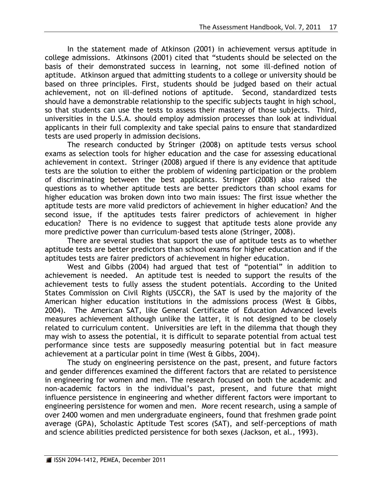In the statement made of Atkinson (2001) in achievement versus aptitude in college admissions. Atkinsons (2001) cited that "students should be selected on the basis of their demonstrated success in learning, not some ill-defined notion of aptitude. Atkinson argued that admitting students to a college or university should be based on three principles. First, students should be judged based on their actual achievement, not on ill-defined notions of aptitude. Second, standardized tests should have a demonstrable relationship to the specific subjects taught in high school, so that students can use the tests to assess their mastery of those subjects. Third, universities in the U.S.A. should employ admission processes than look at individual applicants in their full complexity and take special pains to ensure that standardized tests are used properly in admission decisions.

The research conducted by Stringer (2008) on aptitude tests versus school exams as selection tools for higher education and the case for assessing educational achievement in context. Stringer (2008) argued if there is any evidence that aptitude tests are the solution to either the problem of widening participation or the problem of discriminating between the best applicants. Stringer (2008) also raised the questions as to whether aptitude tests are better predictors than school exams for higher education was broken down into two main issues: The first issue whether the aptitude tests are more valid predictors of achievement in higher education? And the second issue, if the aptitudes tests fairer predictors of achievement in higher education? There is no evidence to suggest that aptitude tests alone provide any more predictive power than curriculum-based tests alone (Stringer, 2008).

There are several studies that support the use of aptitude tests as to whether aptitude tests are better predictors than school exams for higher education and if the aptitudes tests are fairer predictors of achievement in higher education.

West and Gibbs (2004) had argued that test of "potential" in addition to achievement is needed. An aptitude test is needed to support the results of the achievement tests to fully assess the student potentials. According to the United States Commission on Civil Rights (USCCR), the SAT is used by the majority of the American higher education institutions in the admissions process (West & Gibbs, 2004). The American SAT, like General Certificate of Education Advanced levels measures achievement although unlike the latter, it is not designed to be closely related to curriculum content. Universities are left in the dilemma that though they may wish to assess the potential, it is difficult to separate potential from actual test performance since tests are supposedly measuring potential but in fact measure achievement at a particular point in time (West & Gibbs, 2004).

The study on engineering persistence on the past, present, and future factors and gender differences examined the different factors that are related to persistence in engineering for women and men. The research focused on both the academic and non-academic factors in the individual's past, present, and future that might influence persistence in engineering and whether different factors were important to engineering persistence for women and men. More recent research, using a sample of over 2400 women and men undergraduate engineers, found that freshmen grade point average (GPA), Scholastic Aptitude Test scores (SAT), and self-perceptions of math and science abilities predicted persistence for both sexes (Jackson, et al., 1993).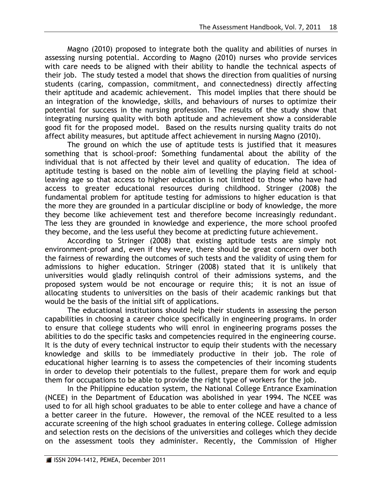Magno (2010) proposed to integrate both the quality and abilities of nurses in assessing nursing potential. According to Magno (2010) nurses who provide services with care needs to be aligned with their ability to handle the technical aspects of their job. The study tested a model that shows the direction from qualities of nursing students (caring, compassion, commitment, and connectedness) directly affecting their aptitude and academic achievement. This model implies that there should be an integration of the knowledge, skills, and behaviours of nurses to optimize their potential for success in the nursing profession. The results of the study show that integrating nursing quality with both aptitude and achievement show a considerable good fit for the proposed model. Based on the results nursing quality traits do not affect ability measures, but aptitude affect achievement in nursing Magno (2010).

The ground on which the use of aptitude tests is justified that it measures something that is school-proof: Something fundamental about the ability of the individual that is not affected by their level and quality of education. The idea of aptitude testing is based on the noble aim of levelling the playing field at schoolleaving age so that access to higher education is not limited to those who have had access to greater educational resources during childhood. Stringer (2008) the fundamental problem for aptitude testing for admissions to higher education is that the more they are grounded in a particular discipline or body of knowledge, the more they become like achievement test and therefore become increasingly redundant. The less they are grounded in knowledge and experience, the more school proofed they become, and the less useful they become at predicting future achievement.

According to Stringer (2008) that existing aptitude tests are simply not environment-proof and, even if they were, there should be great concern over both the fairness of rewarding the outcomes of such tests and the validity of using them for admissions to higher education. Stringer (2008) stated that it is unlikely that universities would gladly relinquish control of their admissions systems, and the proposed system would be not encourage or require this; it is not an issue of allocating students to universities on the basis of their academic rankings but that would be the basis of the initial sift of applications.

The educational institutions should help their students in assessing the person capabilities in choosing a career choice specifically in engineering programs. In order to ensure that college students who will enrol in engineering programs posses the abilities to do the specific tasks and competencies required in the engineering course. It is the duty of every technical instructor to equip their students with the necessary knowledge and skills to be immediately productive in their job. The role of educational higher learning is to assess the competencies of their incoming students in order to develop their potentials to the fullest, prepare them for work and equip them for occupations to be able to provide the right type of workers for the job.

In the Philippine education system, the National College Entrance Examination (NCEE) in the Department of Education was abolished in year 1994. The NCEE was used to for all high school graduates to be able to enter college and have a chance of a better career in the future. However, the removal of the NCEE resulted to a less accurate screening of the high school graduates in entering college. College admission and selection rests on the decisions of the universities and colleges which they decide on the assessment tools they administer. Recently, the Commission of Higher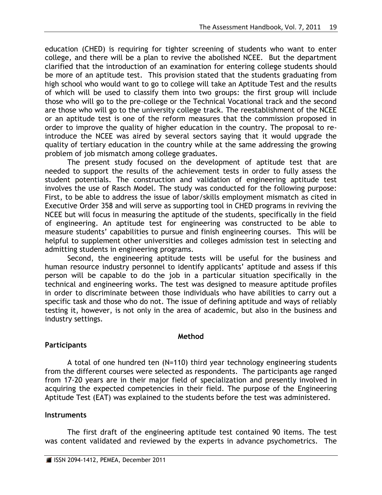education (CHED) is requiring for tighter screening of students who want to enter college, and there will be a plan to revive the abolished NCEE. But the department clarified that the introduction of an examination for entering college students should be more of an aptitude test. This provision stated that the students graduating from high school who would want to go to college will take an Aptitude Test and the results of which will be used to classify them into two groups: the first group will include those who will go to the pre-college or the Technical Vocational track and the second are those who will go to the university college track. The reestablishment of the NCEE or an aptitude test is one of the reform measures that the commission proposed in order to improve the quality of higher education in the country. The proposal to reintroduce the NCEE was aired by several sectors saying that it would upgrade the quality of tertiary education in the country while at the same addressing the growing problem of job mismatch among college graduates.

The present study focused on the development of aptitude test that are needed to support the results of the achievement tests in order to fully assess the student potentials. The construction and validation of engineering aptitude test involves the use of Rasch Model. The study was conducted for the following purpose: First, to be able to address the issue of labor/skills employment mismatch as cited in Executive Order 358 and will serve as supporting tool in CHED programs in reviving the NCEE but will focus in measuring the aptitude of the students, specifically in the field of engineering. An aptitude test for engineering was constructed to be able to measure students' capabilities to pursue and finish engineering courses. This will be helpful to supplement other universities and colleges admission test in selecting and admitting students in engineering programs.

Second, the engineering aptitude tests will be useful for the business and human resource industry personnel to identify applicants' aptitude and assess if this person will be capable to do the job in a particular situation specifically in the technical and engineering works. The test was designed to measure aptitude profiles in order to discriminate between those individuals who have abilities to carry out a specific task and those who do not. The issue of defining aptitude and ways of reliably testing it, however, is not only in the area of academic, but also in the business and industry settings.

### **Method**

# **Participants**

A total of one hundred ten (N=110) third year technology engineering students from the different courses were selected as respondents. The participants age ranged from 17-20 years are in their major field of specialization and presently involved in acquiring the expected competencies in their field. The purpose of the Engineering Aptitude Test (EAT) was explained to the students before the test was administered.

# **Instruments**

The first draft of the engineering aptitude test contained 90 items. The test was content validated and reviewed by the experts in advance psychometrics. The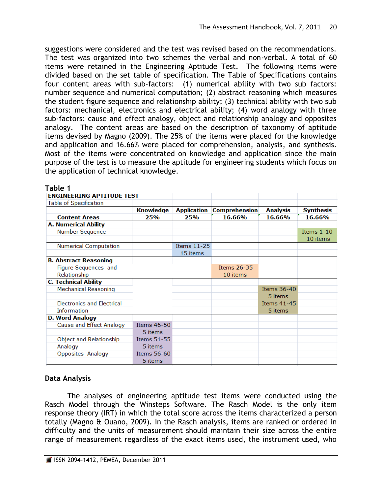suggestions were considered and the test was revised based on the recommendations. The test was organized into two schemes the verbal and non-verbal. A total of 60 items were retained in the Engineering Aptitude Test. The following items were divided based on the set table of specification. The Table of Specifications contains four content areas with sub-factors: (1) numerical ability with two sub factors: number sequence and numerical computation; (2) abstract reasoning which measures the student figure sequence and relationship ability; (3) technical ability with two sub factors: mechanical, electronics and electrical ability; (4) word analogy with three sub-factors: cause and effect analogy, object and relationship analogy and opposites analogy. The content areas are based on the description of taxonomy of aptitude items devised by Magno (2009). The 25% of the items were placed for the knowledge and application and 16.66% were placed for comprehension, analysis, and synthesis. Most of the items were concentrated on knowledge and application since the main purpose of the test is to measure the aptitude for engineering students which focus on the application of technical knowledge.

| <b>ENGINEERING APTITUDE TEST</b>  |                    |                    |                      |                    |                  |
|-----------------------------------|--------------------|--------------------|----------------------|--------------------|------------------|
| Table of Specification            |                    |                    |                      |                    |                  |
|                                   | <b>Knowledge</b>   | <b>Application</b> | <b>Comprehension</b> | <b>Analysis</b>    | <b>Synthesis</b> |
| <b>Content Areas</b>              | 25%                | 25%                | 16.66%               | 16.66%             | 16.66%           |
| <b>A. Numerical Ability</b>       |                    |                    |                      |                    |                  |
| Number Sequence                   |                    |                    |                      |                    | Items $1-10$     |
|                                   |                    |                    |                      |                    | 10 items         |
| <b>Numerical Computation</b>      |                    | <b>Items 11-25</b> |                      |                    |                  |
|                                   |                    | 15 items           |                      |                    |                  |
| <b>B. Abstract Reasoning</b>      |                    |                    |                      |                    |                  |
| Figure Sequences and              |                    |                    | Items 26-35          |                    |                  |
| Relationship                      |                    |                    | 10 items             |                    |                  |
| <b>C. Technical Ability</b>       |                    |                    |                      |                    |                  |
| <b>Mechanical Reasoning</b>       |                    |                    |                      | Items 36-40        |                  |
|                                   |                    |                    |                      | 5 items            |                  |
| <b>Electronics and Electrical</b> |                    |                    |                      | <b>Items 41-45</b> |                  |
| <b>Information</b>                |                    |                    |                      | 5 items            |                  |
| <b>D. Word Analogy</b>            |                    |                    |                      |                    |                  |
| Cause and Effect Analogy          | <b>Items 46-50</b> |                    |                      |                    |                  |
|                                   | 5 items            |                    |                      |                    |                  |
| Object and Relationship           | Items 51-55        |                    |                      |                    |                  |
| Analogy                           | 5 items            |                    |                      |                    |                  |
| Opposites Analogy                 | Items 56-60        |                    |                      |                    |                  |
|                                   | 5 items            |                    |                      |                    |                  |

**Table 1**

# **Data Analysis**

The analyses of engineering aptitude test items were conducted using the Rasch Model through the Winsteps Software. The Rasch Model is the only item response theory (IRT) in which the total score across the items characterized a person totally (Magno & Ouano, 2009). In the Rasch analysis, items are ranked or ordered in difficulty and the units of measurement should maintain their size across the entire range of measurement regardless of the exact items used, the instrument used, who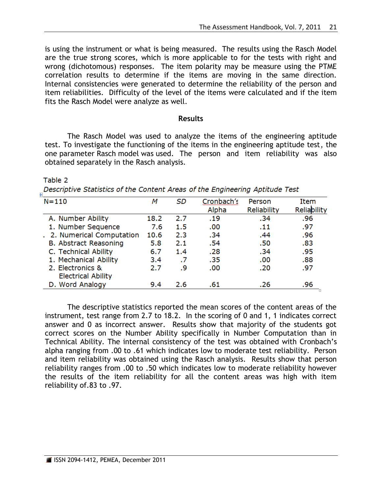is using the instrument or what is being measured. The results using the Rasch Model are the true strong scores, which is more applicable to for the tests with right and wrong (dichotomous) responses. The item polarity may be measure using the PTME correlation results to determine if the items are moving in the same direction. Internal consistencies were generated to determine the reliability of the person and item reliabilities. Difficulty of the level of the items were calculated and if the item fits the Rasch Model were analyze as well.

### **Results**

The Rasch Model was used to analyze the items of the engineering aptitude test. To investigate the functioning of the items in the engineering aptitude test, the one parameter Rasch model was used. The person and item reliability was also obtained separately in the Rasch analysis.

### Table 2

Descriptive Statistics of the Content Areas of the Engineering Aptitude Test

| $N = 110$                  | м    | <b>SD</b> | Cronbach's | Person      | Item        |
|----------------------------|------|-----------|------------|-------------|-------------|
|                            |      |           | Alpha      | Reliability | Reliability |
| A. Number Ability          | 18.2 | 2.7       | .19        | .34         | .96         |
| 1. Number Sequence         | 7.6  | 1.5       | .00        | .11         | .97         |
| . 2. Numerical Computation | 10.6 | 2.3       | .34        | .44         | .96         |
| B. Abstract Reasoning      | 5.8  | 2.1       | .54        | .50         | .83         |
| C. Technical Ability       | 6.7  | 1.4       | .28        | .34         | .95         |
| 1. Mechanical Ability      | 3.4  | .7        | .35        | .00         | .88         |
| 2. Electronics &           | 2.7  | .9        | .00        | .20         | .97         |
| <b>Electrical Ability</b>  |      |           |            |             |             |
| D. Word Analogy            | 9.4  | 2.6       | .61        | .26         | .96         |

The descriptive statistics reported the mean scores of the content areas of the instrument, test range from 2.7 to 18.2. In the scoring of 0 and 1, 1 indicates correct answer and 0 as incorrect answer. Results show that majority of the students got correct scores on the Number Ability specifically in Number Computation than in Technical Ability. The internal consistency of the test was obtained with Cronbach's alpha ranging from .00 to .61 which indicates low to moderate test reliability. Person and item reliability was obtained using the Rasch analysis. Results show that person reliability ranges from .00 to .50 which indicates low to moderate reliability however the results of the item reliability for all the content areas was high with item reliability of.83 to .97.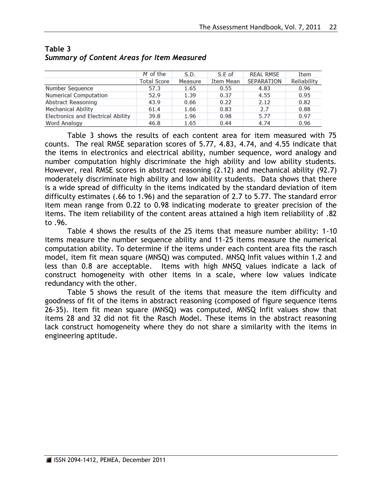|                                           | M of the           | S.D.    | S.E of    | <b>REAL RMSE</b>  | Item        |
|-------------------------------------------|--------------------|---------|-----------|-------------------|-------------|
|                                           | <b>Total Score</b> | Measure | Item Mean | <b>SEPARATION</b> | Reliability |
| Number Sequence                           | 57.3               | 1.65    | 0.55      | 4.83              | 0.96        |
| <b>Numerical Computation</b>              | 52.9               | 1.39    | 0.37      | 4.55              | 0.95        |
| <b>Abstract Reasoning</b>                 | 43.9               | 0.66    | 0.22      | 2.12              | 0.82        |
| <b>Mechanical Ability</b>                 | 61.4               | 1.66    | 0.83      | 2.7               | 0.88        |
| <b>Electronics and Electrical Ability</b> | 39.8               | 1.96    | 0.98      | 5.77              | 0.97        |
| <b>Word Analogy</b>                       | 46.8               | 1.65    | 0.44      | 4.74              | 0.96        |

# **Table 3** *Summary of Content Areas for Item Measured*

Table 3 shows the results of each content area for item measured with 75 counts. The real RMSE separation scores of 5.77, 4.83, 4.74, and 4.55 indicate that the items in electronics and electrical ability, number sequence, word analogy and number computation highly discriminate the high ability and low ability students. However, real RMSE scores in abstract reasoning (2.12) and mechanical ability (92.7) moderately discriminate high ability and low ability students. Data shows that there is a wide spread of difficulty in the items indicated by the standard deviation of item difficulty estimates (.66 to 1.96) and the separation of 2.7 to 5.77. The standard error item mean range from 0.22 to 0.98 indicating moderate to greater precision of the items. The item reliability of the content areas attained a high item reliability of .82 to .96.

Table 4 shows the results of the 25 items that measure number ability: 1-10 items measure the number sequence ability and 11-25 items measure the numerical computation ability. To determine if the items under each content area fits the rasch model, item fit mean square (MNSQ) was computed. MNSQ Infit values within 1.2 and less than 0.8 are acceptable. Items with high MNSQ values indicate a lack of construct homogeneity with other items in a scale, where low values indicate redundancy with the other.

Table 5 shows the result of the items that measure the item difficulty and goodness of fit of the items in abstract reasoning (composed of figure sequence items 26-35). Item fit mean square (MNSQ) was computed, MNSQ Infit values show that items 28 and 32 did not fit the Rasch Model. These items in the abstract reasoning lack construct homogeneity where they do not share a similarity with the items in engineering aptitude.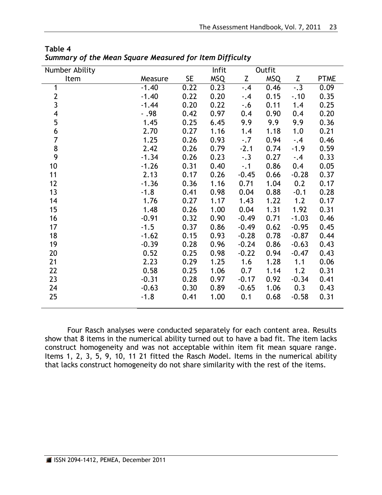| Number Ability          |         |           | Infit      | Outfit  |            |         |             |
|-------------------------|---------|-----------|------------|---------|------------|---------|-------------|
| Item                    | Measure | <b>SE</b> | <b>MSQ</b> | Z       | <b>MSQ</b> | Z       | <b>PTME</b> |
| 1                       | $-1.40$ | 0.22      | 0.23       | $-.4$   | 0.46       | $-.3$   | 0.09        |
| $\overline{c}$          | $-1.40$ | 0.22      | 0.20       | $-.4$   | 0.15       | $-0.10$ | 0.35        |
| $\overline{3}$          | $-1.44$ | 0.20      | 0.22       | $-0.6$  | 0.11       | 1.4     | 0.25        |
| $\overline{\mathbf{4}}$ | $-0.98$ | 0.42      | 0.97       | 0.4     | 0.90       | 0.4     | 0.20        |
| 5                       | 1.45    | 0.25      | 6.45       | 9.9     | 9.9        | 9.9     | 0.36        |
| 6                       | 2.70    | 0.27      | 1.16       | 1.4     | 1.18       | 1.0     | 0.21        |
| $\overline{7}$          | 1.25    | 0.26      | 0.93       | $-.7$   | 0.94       | $-.4$   | 0.46        |
| 8                       | 2.42    | 0.26      | 0.79       | $-2.1$  | 0.74       | $-1.9$  | 0.59        |
| 9                       | $-1.34$ | 0.26      | 0.23       | $-.3$   | 0.27       | $-.4$   | 0.33        |
| 10                      | $-1.26$ | 0.31      | 0.40       | $-.1$   | 0.86       | 0.4     | 0.05        |
| 11                      | 2.13    | 0.17      | 0.26       | $-0.45$ | 0.66       | $-0.28$ | 0.37        |
| 12                      | $-1.36$ | 0.36      | 1.16       | 0.71    | 1.04       | 0.2     | 0.17        |
| 13                      | $-1.8$  | 0.41      | 0.98       | 0.04    | 0.88       | $-0.1$  | 0.28        |
| 14                      | 1.76    | 0.27      | 1.17       | 1.43    | 1.22       | 1.2     | 0.17        |
| 15                      | 1.48    | 0.26      | 1.00       | 0.04    | 1.31       | 1.92    | 0.31        |
| 16                      | $-0.91$ | 0.32      | 0.90       | $-0.49$ | 0.71       | $-1.03$ | 0.46        |
| 17                      | $-1.5$  | 0.37      | 0.86       | $-0.49$ | 0.62       | $-0.95$ | 0.45        |
| 18                      | $-1.62$ | 0.15      | 0.93       | $-0.28$ | 0.78       | $-0.87$ | 0.44        |
| 19                      | $-0.39$ | 0.28      | 0.96       | $-0.24$ | 0.86       | $-0.63$ | 0.43        |
| 20                      | 0.52    | 0.25      | 0.98       | $-0.22$ | 0.94       | $-0.47$ | 0.43        |
| 21                      | 2.23    | 0.29      | 1.25       | 1.6     | 1.28       | 1.1     | 0.06        |
| 22                      | 0.58    | 0.25      | 1.06       | 0.7     | 1.14       | 1.2     | 0.31        |
| 23                      | $-0.31$ | 0.28      | 0.97       | $-0.17$ | 0.92       | $-0.34$ | 0.41        |
| 24                      | $-0.63$ | 0.30      | 0.89       | $-0.65$ | 1.06       | 0.3     | 0.43        |
| 25                      | $-1.8$  | 0.41      | 1.00       | 0.1     | 0.68       | $-0.58$ | 0.31        |
|                         |         |           |            |         |            |         |             |

**Table 4** *Summary of the Mean Square Measured for Item Difficulty*

Four Rasch analyses were conducted separately for each content area. Results show that 8 items in the numerical ability turned out to have a bad fit. The item lacks construct homogeneity and was not acceptable within item fit mean square range. Items 1, 2, 3, 5, 9, 10, 11 21 fitted the Rasch Model. Items in the numerical ability that lacks construct homogeneity do not share similarity with the rest of the items.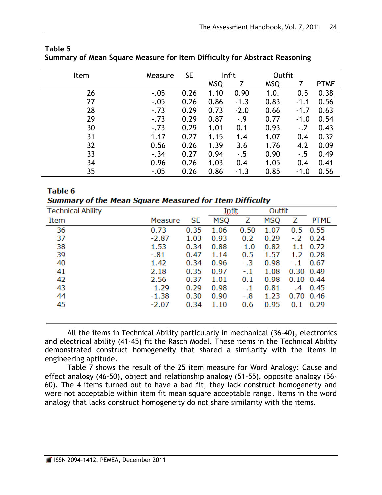| Item | Measure | <b>SE</b> |            | Infit  |            | Outfit |             |
|------|---------|-----------|------------|--------|------------|--------|-------------|
|      |         |           | <b>MSQ</b> | Z      | <b>MSQ</b> | 7      | <b>PTME</b> |
| 26   | $-.05$  | 0.26      | 1.10       | 0.90   | 1.0.       | 0.5    | 0.38        |
| 27   | $-.05$  | 0.26      | 0.86       | $-1.3$ | 0.83       | $-1.1$ | 0.56        |
| 28   | $-.73$  | 0.29      | 0.73       | $-2.0$ | 0.66       | $-1.7$ | 0.63        |
| 29   | $-.73$  | 0.29      | 0.87       | $-.9$  | 0.77       | $-1.0$ | 0.54        |
| 30   | $-.73$  | 0.29      | 1.01       | 0.1    | 0.93       | $-.2$  | 0.43        |
| 31   | 1.17    | 0.27      | 1.15       | 1.4    | 1.07       | 0.4    | 0.32        |
| 32   | 0.56    | 0.26      | 1.39       | 3.6    | 1.76       | 4.2    | 0.09        |
| 33   | $-.34$  | 0.27      | 0.94       | $-.5$  | 0.90       | $-.5$  | 0.49        |
| 34   | 0.96    | 0.26      | 1.03       | 0.4    | 1.05       | 0.4    | 0.41        |
| 35   | $-.05$  | 0.26      | 0.86       | $-1.3$ | 0.85       | $-1.0$ | 0.56        |

# **Table 5 Summary of Mean Square Measure for Item Difficulty for Abstract Reasoning**

### Table 6 **Summary of the Mean Square Measured for Item Difficulty**

| <b>Technical Ability</b> |         |           | Infit |        | Outfit |               |                   |
|--------------------------|---------|-----------|-------|--------|--------|---------------|-------------------|
| Item                     | Measure | <b>SE</b> | MSQ   | Z      | MSQ    | Z             | PTME              |
| 36                       | 0.73    | 0.35      | 1.06  | 0.50   | 1.07   | $0.5^{\circ}$ | 0.55              |
| 37                       | $-2.87$ | 1.03      | 0.93  | 0.2    | 0.29   |               | $-.2 \quad 0.24$  |
| 38                       | 1.53    | 0.34      | 0.88  | $-1.0$ | 0.82   | $-1.1$        | 0.72              |
| 39                       | $-.81$  | 0.47      | 1.14  | 0.5    | 1.57   | 1.2           | 0.28              |
| 40                       | 1.42    | 0.34      | 0.96  | $-.3$  | 0.98   | $-.1$         | 0.67              |
| 41                       | 2.18    | 0.35      | 0.97  | $-.1$  | 1.08   |               | $0.30 \quad 0.49$ |
| 42                       | 2.56    | 0.37      | 1.01  | 0.1    | 0.98   |               | $0.10 \quad 0.44$ |
| 43                       | $-1.29$ | 0.29      | 0.98  | $-.1$  | 0.81   | $-.4 -$       | 0.45              |
| 44                       | $-1.38$ | 0.30      | 0.90  | $-.8$  | 1.23   |               | $0.70$ 0.46       |
| 45                       | $-2.07$ | 0.34      | 1.10  | 0.6    | 0.95   | 0.1           | 0.29              |
|                          |         |           |       |        |        |               |                   |

All the items in Technical Ability particularly in mechanical (36-40), electronics and electrical ability (41-45) fit the Rasch Model. These items in the Technical Ability demonstrated construct homogeneity that shared a similarity with the items in engineering aptitude.

Table 7 shows the result of the 25 item measure for Word Analogy: Cause and effect analogy (46-50), object and relationship analogy (51-55), opposite analogy (56- 60). The 4 items turned out to have a bad fit, they lack construct homogeneity and were not acceptable within item fit mean square acceptable range. Items in the word analogy that lacks construct homogeneity do not share similarity with the items.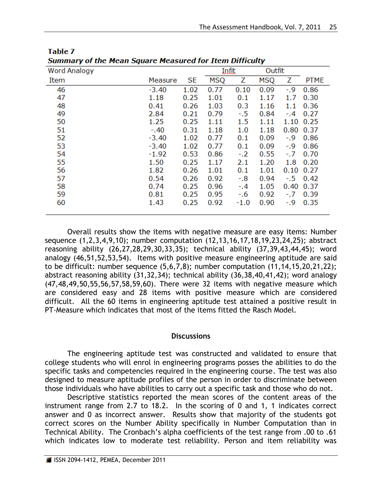| are rream square rreasared for Item Bimearcy |         |           |       |        |            |               |              |  |
|----------------------------------------------|---------|-----------|-------|--------|------------|---------------|--------------|--|
| <b>Word Analogy</b>                          |         |           | Infit |        | Outfit     |               |              |  |
| Item                                         | Measure | <b>SE</b> | MSQ   | Ζ      | <b>MSQ</b> | Z             | <b>PTME</b>  |  |
| 46                                           | $-3.40$ | 1.02      | 0.77  | 0.10   | 0.09       | $-0.9$        | 0.86         |  |
| 47                                           | 1.18    | 0.25      | 1.01  | 0.1    | 1.17       | 1.7           | 0.30         |  |
| 48                                           | 0.41    | 0.26      | 1.03  | 0.3    | 1.16       | 1.1           | 0.36         |  |
| 49                                           | 2.84    | 0.21      | 0.79  | $-5.5$ | 0.84       | $-.4$         | 0.27         |  |
| 50                                           | 1.25    | 0.25      | 1.11  | 1.5    | 1.11       | 1.10          | 0.25         |  |
| 51                                           | $-.40$  | 0.31      | 1.18  | 1.0    | 1.18       | $0.80$ $0.37$ |              |  |
| 52                                           | $-3.40$ | 1.02      | 0.77  | 0.1    | 0.09       | $-0.9$        | 0.86         |  |
| 53                                           | $-3.40$ | 1.02      | 0.77  | 0.1    | 0.09       | $-0.9$        | 0.86         |  |
| 54                                           | $-1.92$ | 0.53      | 0.86  | $-.2$  | 0.55       | $-.7$         | 0.70         |  |
| 55                                           | 1.50    | 0.25      | 1.17  | 2.1    | 1.20       | 1.8           | 0.20         |  |
| 56                                           | 1.82    | 0.26      | 1.01  | 0.1    | 1.01       | $0.10$ $0.27$ |              |  |
| 57                                           | 0.54    | 0.26      | 0.92  | $-0.8$ | 0.94       |               | $-.5 \t0.42$ |  |
| 58                                           | 0.74    | 0.25      | 0.96  | $-.4$  | 1.05       | 0.40          | 0.37         |  |
| 59                                           | 0.81    | 0.25      | 0.95  | $-0.6$ | 0.92       | $-.7$         | 0.39         |  |
| 60                                           | 1.43    | 0.25      | 0.92  | $-1.0$ | 0.90       | -.9           | 0.35         |  |
|                                              |         |           |       |        |            |               |              |  |

**Table 7** Summary of the Mean Square Measured for Ttem Difficulty

Overall results show the items with negative measure are easy items: Number sequence (1,2,3,4,9,10); number computation (12,13,16,17,18,19,23,24,25); abstract reasoning ability (26,27,28,29,30,33,35); technical ability (37,39,43,44,45); word analogy (46,51,52,53,54). Items with positive measure engineering aptitude are said to be difficult: number sequence (5,6,7,8); number computation (11,14,15,20,21,22); abstract reasoning ability (31,32,34); technical ability (36,38,40,41,42); word analogy (47,48,49,50,55,56,57,58,59,60). There were 32 items with negative measure which are considered easy and 28 items with positive measure which are considered difficult. All the 60 items in engineering aptitude test attained a positive result in PT-Measure which indicates that most of the items fitted the Rasch Model.

# **Discussions**

The engineering aptitude test was constructed and validated to ensure that college students who will enrol in engineering programs posses the abilities to do the specific tasks and competencies required in the engineering course. The test was also designed to measure aptitude profiles of the person in order to discriminate between those individuals who have abilities to carry out a specific task and those who do not.

Descriptive statistics reported the mean scores of the content areas of the instrument range from 2.7 to 18.2. In the scoring of 0 and 1, 1 indicates correct answer and 0 as incorrect answer. Results show that majority of the students got correct scores on the Number Ability specifically in Number Computation than in Technical Ability. The Cronbach's alpha coefficients of the test range from .00 to .61 which indicates low to moderate test reliability. Person and item reliability was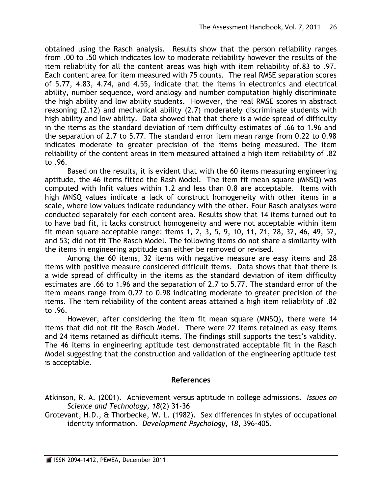obtained using the Rasch analysis. Results show that the person reliability ranges from .00 to .50 which indicates low to moderate reliability however the results of the item reliability for all the content areas was high with item reliability of.83 to .97. Each content area for item measured with 75 counts. The real RMSE separation scores of 5.77, 4.83, 4.74, and 4.55, indicate that the items in electronics and electrical ability, number sequence, word analogy and number computation highly discriminate the high ability and low ability students. However, the real RMSE scores in abstract reasoning (2.12) and mechanical ability (2.7) moderately discriminate students with high ability and low ability. Data showed that that there is a wide spread of difficulty in the items as the standard deviation of item difficulty estimates of .66 to 1.96 and the separation of 2.7 to 5.77. The standard error item mean range from 0.22 to 0.98 indicates moderate to greater precision of the items being measured. The item reliability of the content areas in item measured attained a high item reliability of .82 to .96.

Based on the results, it is evident that with the 60 items measuring engineering aptitude, the 46 items fitted the Rash Model. The item fit mean square (MNSQ) was computed with Infit values within 1.2 and less than 0.8 are acceptable. Items with high MNSQ values indicate a lack of construct homogeneity with other items in a scale, where low values indicate redundancy with the other. Four Rasch analyses were conducted separately for each content area. Results show that 14 items turned out to to have bad fit, it lacks construct homogeneity and were not acceptable within item fit mean square acceptable range: items 1, 2, 3, 5, 9, 10, 11, 21, 28, 32, 46, 49, 52, and 53; did not fit The Rasch Model. The following items do not share a similarity with the items in engineering aptitude can either be removed or revised.

Among the 60 items, 32 items with negative measure are easy items and 28 items with positive measure considered difficult items. Data shows that that there is a wide spread of difficulty in the items as the standard deviation of item difficulty estimates are .66 to 1.96 and the separation of 2.7 to 5.77. The standard error of the item means range from 0.22 to 0.98 indicating moderate to greater precision of the items. The item reliability of the content areas attained a high item reliability of .82 to .96.

However, after considering the item fit mean square (MNSQ), there were 14 items that did not fit the Rasch Model. There were 22 items retained as easy items and 24 items retained as difficult items. The findings still supports the test's validity. The 46 items in engineering aptitude test demonstrated acceptable fit in the Rasch Model suggesting that the construction and validation of the engineering aptitude test is acceptable.

# **References**

Atkinson, R. A. (2001). Achievement versus aptitude in college admissions. *Issues on Science and Technology, 18*(2) 31-36

Grotevant, H.D., & Thorbecke, W. L. (1982). Sex differences in styles of occupational identity information. *Development Psychology, 18*, 396-405.